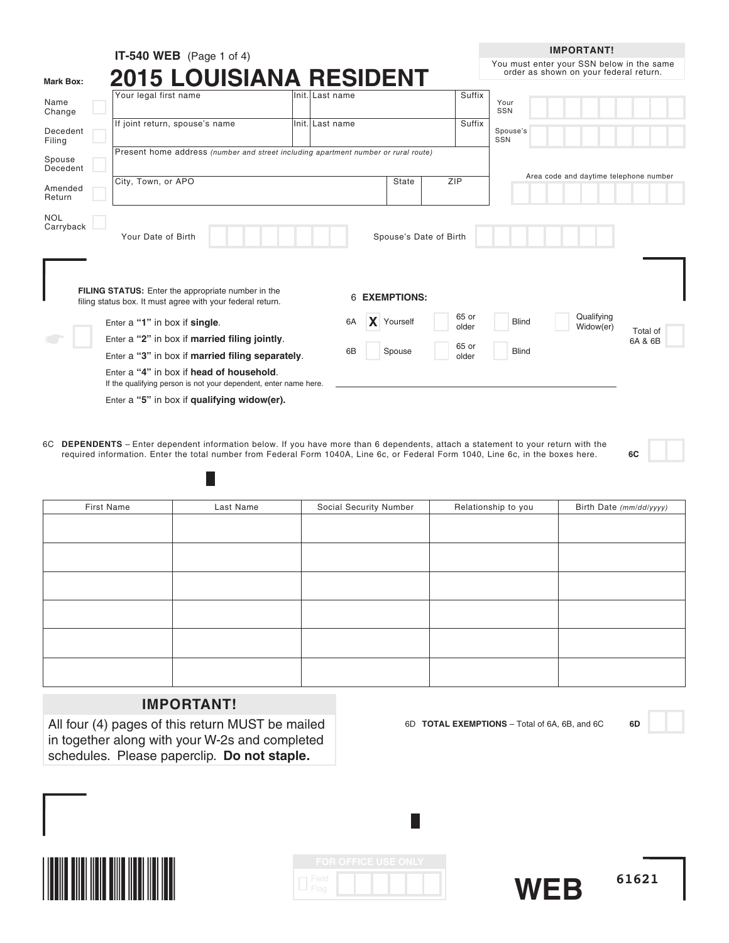|                         | <b>IT-540 WEB</b> (Page 1 of 4)                                                                                  |                 |                        |                | <b>IMPORTANT!</b>                                                                   |  |  |
|-------------------------|------------------------------------------------------------------------------------------------------------------|-----------------|------------------------|----------------|-------------------------------------------------------------------------------------|--|--|
| <b>Mark Box:</b>        | <b>2015 LOUISIANA RESIDENT</b>                                                                                   |                 |                        |                | You must enter your SSN below in the same<br>order as shown on your federal return. |  |  |
| Name<br>Change          | Your legal first name                                                                                            | Init. Last name |                        | Suffix         | Your<br>SSN                                                                         |  |  |
| Decedent<br>Filing      | If joint return, spouse's name                                                                                   | Init. Last name |                        | Suffix         | Spouse's<br>SSN                                                                     |  |  |
| Spouse<br>Decedent      | Present home address (number and street including apartment number or rural route)                               |                 |                        |                |                                                                                     |  |  |
| Amended<br>Return       | City, Town, or APO                                                                                               |                 | <b>State</b>           | ZIP            | Area code and daytime telephone number                                              |  |  |
| <b>NOL</b><br>Carryback | Your Date of Birth                                                                                               |                 | Spouse's Date of Birth |                |                                                                                     |  |  |
|                         | FILING STATUS: Enter the appropriate number in the<br>filing status box. It must agree with your federal return. | 6               | <b>EXEMPTIONS:</b>     |                |                                                                                     |  |  |
|                         | Enter a "1" in box if single.                                                                                    | 6A              | <b>X</b> Yourself      | 65 or<br>older | Qualifying<br><b>Blind</b><br>Widow(er)<br>Total of                                 |  |  |
|                         | Enter a "2" in box if married filing jointly.                                                                    |                 |                        | 65 or          | 6A & 6B                                                                             |  |  |
|                         | Enter a "3" in box if married filing separately.                                                                 | 6B              | Spouse                 | older          | <b>Blind</b>                                                                        |  |  |
|                         | Enter a "4" in box if head of household.<br>If the qualifying person is not your dependent, enter name here.     |                 |                        |                |                                                                                     |  |  |
|                         | Enter a "5" in box if qualifying widow(er).                                                                      |                 |                        |                |                                                                                     |  |  |

6C **DEPENDENTS** – Enter dependent information below. If you have more than 6 dependents, attach a statement to your return with the required information. Enter the total number from Federal Form 1040A, Line 6c, or Federal Form 1040, Line 6c, in the boxes here. **6C**

| First Name | Last Name | Social Security Number | Relationship to you | Birth Date (mm/dd/yyyy) |
|------------|-----------|------------------------|---------------------|-------------------------|
|            |           |                        |                     |                         |
|            |           |                        |                     |                         |
|            |           |                        |                     |                         |
|            |           |                        |                     |                         |
|            |           |                        |                     |                         |
|            |           |                        |                     |                         |
|            |           |                        |                     |                         |
|            |           |                        |                     |                         |
|            |           |                        |                     |                         |
|            |           |                        |                     |                         |
|            |           |                        |                     |                         |
|            |           |                        |                     |                         |

## **IMPORTANT!**

H

All four (4) pages of this return MUST be mailed in together along with your W-2s and completed schedules. Please paperclip. **Do not staple.**

6D **TOTAL EXEMPTIONS** – Total of 6A, 6B, and 6C **6D**

**61621**



|               | <b>FOR OFFICE USE ONLY</b> |  |  |
|---------------|----------------------------|--|--|
| Field<br>Flag |                            |  |  |

L

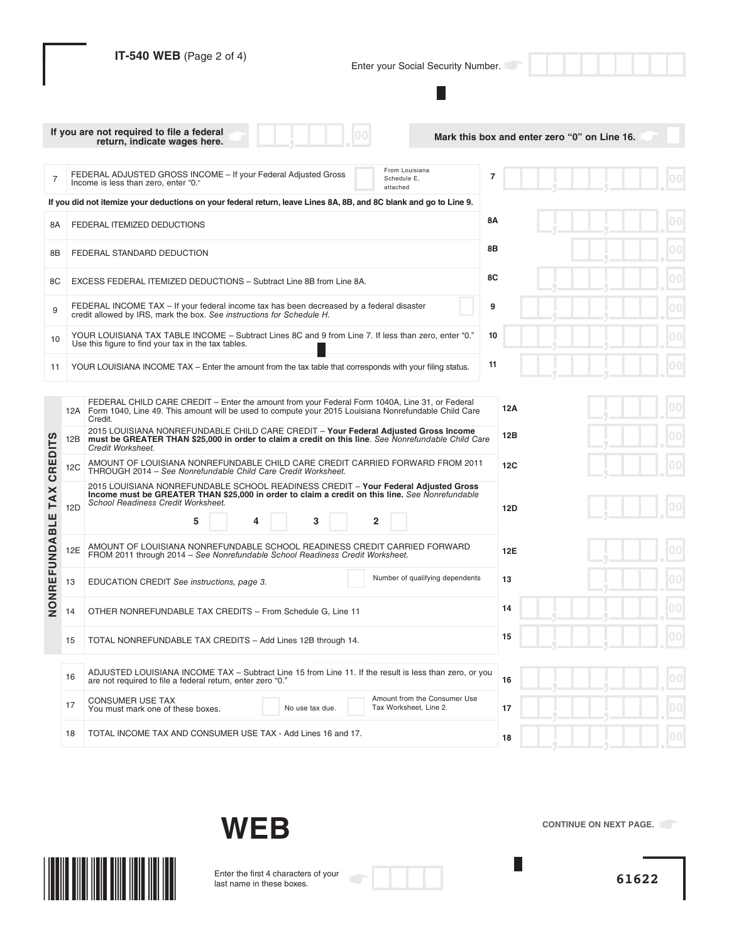|                 |     | IT-540 WEB (Page 2 of 4)<br>Enter your Social Security Number.                                                                                                                                                                                          |    |     |  |  |  |    |
|-----------------|-----|---------------------------------------------------------------------------------------------------------------------------------------------------------------------------------------------------------------------------------------------------------|----|-----|--|--|--|----|
|                 |     | If you are not required to file a federal<br>Mark this box and enter zero "0" on Line 16.<br>return, indicate wages here.                                                                                                                               |    |     |  |  |  |    |
| $\overline{7}$  |     | From Louisiana<br>FEDERAL ADJUSTED GROSS INCOME - If your Federal Adjusted Gross<br>Schedule E.<br>Income is less than zero, enter "0."<br>attached                                                                                                     | 7  |     |  |  |  |    |
|                 |     | If you did not itemize your deductions on your federal return, leave Lines 8A, 8B, and 8C blank and go to Line 9.                                                                                                                                       |    |     |  |  |  |    |
| 8Α              |     | FEDERAL ITEMIZED DEDUCTIONS                                                                                                                                                                                                                             | 8Α |     |  |  |  |    |
| 8B              |     | FEDERAL STANDARD DEDUCTION                                                                                                                                                                                                                              | 8Β |     |  |  |  |    |
| 8C              |     | EXCESS FEDERAL ITEMIZED DEDUCTIONS - Subtract Line 8B from Line 8A.                                                                                                                                                                                     | 8C |     |  |  |  |    |
| 9               |     | FEDERAL INCOME TAX - If your federal income tax has been decreased by a federal disaster<br>credit allowed by IRS, mark the box. See instructions for Schedule H.                                                                                       | 9  |     |  |  |  |    |
| 10              |     | YOUR LOUISIANA TAX TABLE INCOME - Subtract Lines 8C and 9 from Line 7. If less than zero, enter "0."<br>Use this figure to find your tax in the tax tables.                                                                                             | 10 |     |  |  |  |    |
| 11              |     | YOUR LOUISIANA INCOME TAX - Enter the amount from the tax table that corresponds with your filing status.                                                                                                                                               | 11 |     |  |  |  |    |
|                 |     | FEDERAL CHILD CARE CREDIT – Enter the amount from your Federal Form 1040A, Line 31, or Federal<br>12A   Form 1040, Line 49. This amount will be used to compute your 2015 Louisiana Nonrefundable Child Care<br>Credit.                                 |    | 12A |  |  |  |    |
|                 | 12B | 2015 LOUISIANA NONREFUNDABLE CHILD CARE CREDIT - Your Federal Adjusted Gross Income<br>must be GREATER THAN \$25,000 in order to claim a credit on this line. See Nonrefundable Child Care<br>Credit Worksheet.                                         |    | 12B |  |  |  |    |
| <b>CREDITS</b>  | 12C | AMOUNT OF LOUISIANA NONREFUNDABLE CHILD CARE CREDIT CARRIED FORWARD FROM 2011<br>THROUGH 2014 - See Nonrefundable Child Care Credit Worksheet.                                                                                                          |    | 12C |  |  |  |    |
| <b>TAX</b>      | 12D | 2015 LOUISIANA NONREFUNDABLE SCHOOL READINESS CREDIT - Your Federal Adjusted Gross<br>Income must be GREATER THAN \$25,000 in order to claim a credit on this line. See Nonrefundable<br>School Readiness Credit Worksheet.<br>$\overline{2}$<br>5<br>3 |    | 12D |  |  |  |    |
| <b>FUNDABLE</b> | 12E | AMOUNT OF LOUISIANA NONREFUNDABLE SCHOOL READINESS CREDIT CARRIED FORWARD<br>FROM 2011 through 2014 - See Nonrefundable School Readiness Credit Worksheet.                                                                                              |    | 12E |  |  |  |    |
|                 | 13  | Number of qualifying dependents<br>EDUCATION CREDIT See instructions, page 3.                                                                                                                                                                           |    | 13  |  |  |  | UU |
| NONRE           | 14  | OTHER NONREFUNDABLE TAX CREDITS - From Schedule G, Line 11                                                                                                                                                                                              |    | 14  |  |  |  | 00 |
|                 | 15  | TOTAL NONREFUNDABLE TAX CREDITS - Add Lines 12B through 14.                                                                                                                                                                                             |    | 15  |  |  |  |    |
|                 | 16  | ADJUSTED LOUISIANA INCOME TAX - Subtract Line 15 from Line 11. If the result is less than zero, or you<br>are not required to file a federal return, enter zero "0."                                                                                    |    | 16  |  |  |  |    |
|                 | 17  | Amount from the Consumer Use<br><b>CONSUMER USE TAX</b><br>Tax Worksheet, Line 2.<br>No use tax due.<br>You must mark one of these boxes.                                                                                                               |    | 17  |  |  |  |    |
|                 | 18  | TOTAL INCOME TAX AND CONSUMER USE TAX - Add Lines 16 and 17.                                                                                                                                                                                            |    | 18  |  |  |  |    |





Enter the first 4 characters of your last name in these boxes.



**CONTINUE ON NEXT PAGE.** 

 $\overline{\phantom{a}}$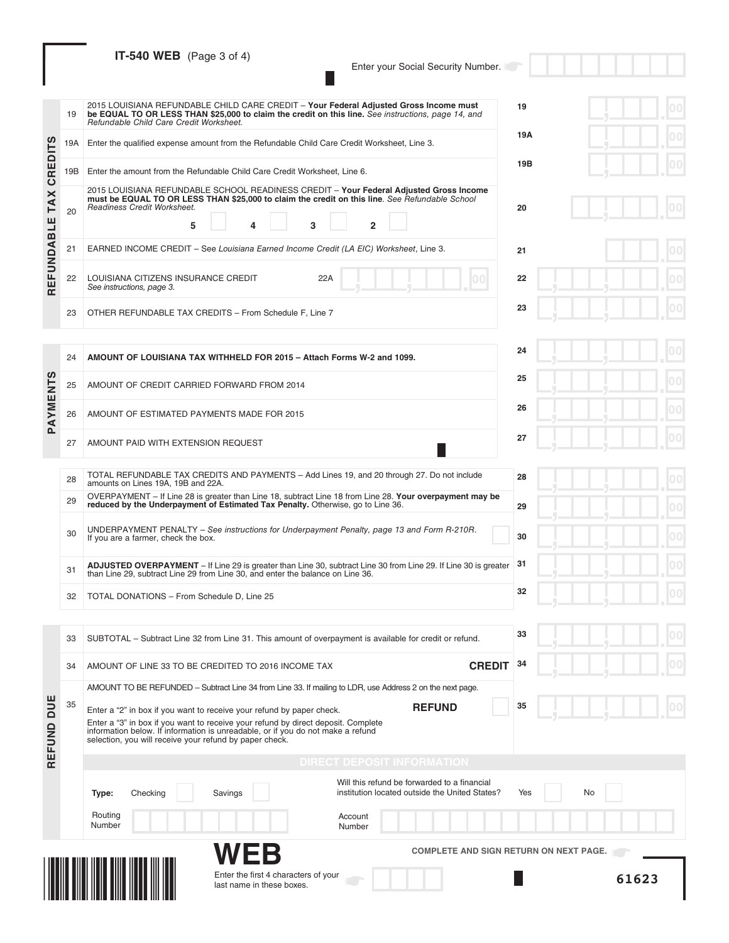# **IT-540 WEB** (Page 3 of 4)

Enter your Social Security Number.

 $\Box$ 

|                | 19       | 2015 LOUISIANA REFUNDABLE CHILD CARE CREDIT - Your Federal Adjusted Gross Income must<br>be EQUAL TO OR LESS THAN \$25,000 to claim the credit on this line. See instructions, page 14, and<br>Refundable Child Care Credit Worksheet.                                                                                    | 19        |
|----------------|----------|---------------------------------------------------------------------------------------------------------------------------------------------------------------------------------------------------------------------------------------------------------------------------------------------------------------------------|-----------|
|                | 19A      | Enter the qualified expense amount from the Refundable Child Care Credit Worksheet, Line 3.                                                                                                                                                                                                                               | 19A       |
| <b>CREDITS</b> | 19B      | Enter the amount from the Refundable Child Care Credit Worksheet, Line 6.                                                                                                                                                                                                                                                 | 19B       |
| <b>TAX</b>     | 20       | 2015 LOUISIANA REFUNDABLE SCHOOL READINESS CREDIT - Your Federal Adjusted Gross Income<br>must be EQUAL TO OR LESS THAN \$25,000 to claim the credit on this line. See Refundable School<br>Readiness Credit Worksheet.<br>$\overline{2}$<br>5<br>3<br>Δ                                                                  | 20        |
|                | 21       | EARNED INCOME CREDIT - See Louisiana Earned Income Credit (LA EIC) Worksheet, Line 3.                                                                                                                                                                                                                                     | 21        |
| REFUNDABLE     | 22       | LOUISIANA CITIZENS INSURANCE CREDIT<br>22A<br>See instructions, page 3.                                                                                                                                                                                                                                                   | 22        |
|                | 23       | OTHER REFUNDABLE TAX CREDITS - From Schedule F, Line 7                                                                                                                                                                                                                                                                    | 23        |
|                | 24       | AMOUNT OF LOUISIANA TAX WITHHELD FOR 2015 - Attach Forms W-2 and 1099.                                                                                                                                                                                                                                                    | 24        |
|                | 25       | AMOUNT OF CREDIT CARRIED FORWARD FROM 2014                                                                                                                                                                                                                                                                                | 25        |
| PAYMENTS       | 26       | AMOUNT OF ESTIMATED PAYMENTS MADE FOR 2015                                                                                                                                                                                                                                                                                | 26        |
|                | 27       | AMOUNT PAID WITH EXTENSION REQUEST                                                                                                                                                                                                                                                                                        | 27        |
|                | 28<br>29 | TOTAL REFUNDABLE TAX CREDITS AND PAYMENTS - Add Lines 19, and 20 through 27. Do not include<br>amounts on Lines 19A, 19B and 22A.<br>OVERPAYMENT – If Line 28 is greater than Line 18, subtract Line 18 from Line 28. Your overpayment may be                                                                             | 28        |
|                | 30       | reduced by the Underpayment of Estimated Tax Penalty. Otherwise, go to Line 36.<br>UNDERPAYMENT PENALTY – See instructions for Underpayment Penalty, page 13 and Form R-210R.<br>If you are a farmer, check the box.                                                                                                      | 29<br>30  |
|                | 31       | <b>ADJUSTED OVERPAYMENT</b> – If Line 29 is greater than Line 30, subtract Line 30 from Line 29. If Line 30 is greater<br>than Line 29, subtract Line 29 from Line 30, and enter the balance on Line 36.                                                                                                                  | 31        |
|                | 32       | TOTAL DONATIONS - From Schedule D, Line 25                                                                                                                                                                                                                                                                                | 32        |
|                | 33       | SUBTOTAL – Subtract Line 32 from Line 31. This amount of overpayment is available for credit or refund.                                                                                                                                                                                                                   | 33        |
|                | 34       | <b>CREDIT</b><br>AMOUNT OF LINE 33 TO BE CREDITED TO 2016 INCOME TAX                                                                                                                                                                                                                                                      | 34        |
|                |          | AMOUNT TO BE REFUNDED – Subtract Line 34 from Line 33. If mailing to LDR, use Address 2 on the next page.                                                                                                                                                                                                                 |           |
| REFUND DUE     | 35       | <b>REFUND</b><br>Enter a "2" in box if you want to receive your refund by paper check.<br>Enter a "3" in box if you want to receive your refund by direct deposit. Complete<br>information below. If information is unreadable, or if you do not make a refund<br>selection, you will receive your refund by paper check. | 35        |
|                |          | <b>DIRECT DEPOSIT INFORMATION</b>                                                                                                                                                                                                                                                                                         |           |
|                |          | Will this refund be forwarded to a financial<br>institution located outside the United States?<br>Savings<br>Type:<br>Checking                                                                                                                                                                                            | Yes<br>No |
|                |          | Routing<br>Account<br>Number<br>Number                                                                                                                                                                                                                                                                                    |           |
|                |          | WEB<br><b>COMPLETE AND SIGN RETURN ON NEXT PAGE.</b>                                                                                                                                                                                                                                                                      |           |
|                |          | Enter the first 4 characters of your<br>last name in these boxes.                                                                                                                                                                                                                                                         | 61623     |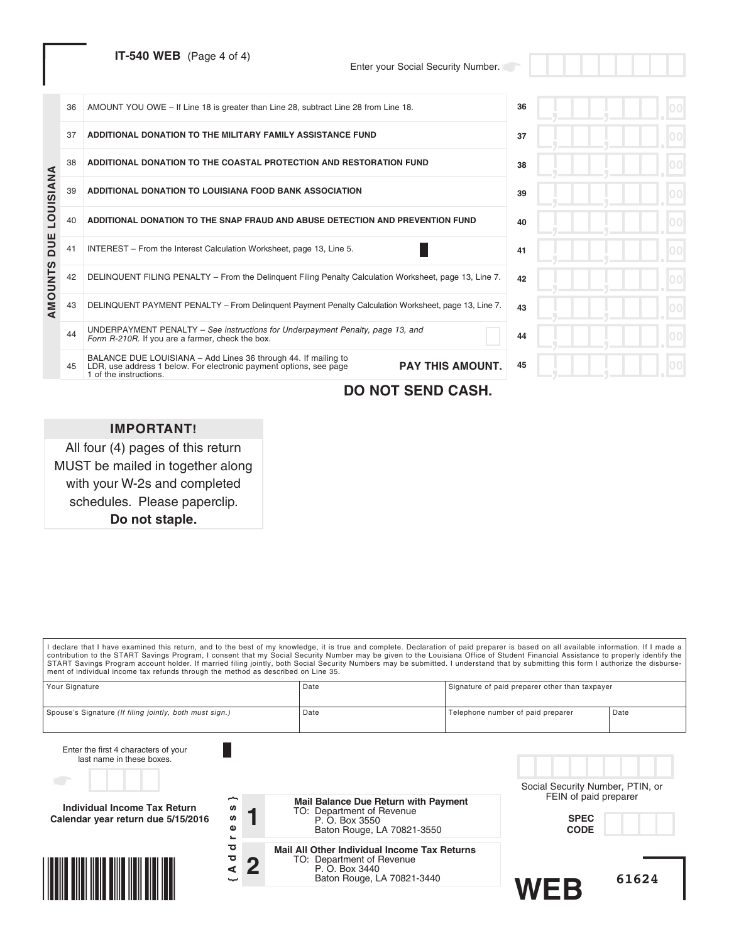**IT-540 WEB** (Page 4 of 4)

Enter your Social Security Number.

|           | 36 | AMOUNT YOU OWE - If Line 18 is greater than Line 28, subtract Line 28 from Line 18.                                                                                                       | 36 |  |
|-----------|----|-------------------------------------------------------------------------------------------------------------------------------------------------------------------------------------------|----|--|
|           | 37 | ADDITIONAL DONATION TO THE MILITARY FAMILY ASSISTANCE FUND                                                                                                                                | 37 |  |
|           | 38 | ADDITIONAL DONATION TO THE COASTAL PROTECTION AND RESTORATION FUND                                                                                                                        | 38 |  |
| LOUISIANA | 39 | ADDITIONAL DONATION TO LOUISIANA FOOD BANK ASSOCIATION                                                                                                                                    | 39 |  |
|           | 40 | ADDITIONAL DONATION TO THE SNAP FRAUD AND ABUSE DETECTION AND PREVENTION FUND                                                                                                             | 40 |  |
| DUE       | 41 | INTEREST - From the Interest Calculation Worksheet, page 13, Line 5.                                                                                                                      | 41 |  |
| AMOUNTS   | 42 | DELINQUENT FILING PENALTY - From the Delinguent Filing Penalty Calculation Worksheet, page 13, Line 7.                                                                                    | 42 |  |
|           | 43 | DELINQUENT PAYMENT PENALTY - From Delinquent Payment Penalty Calculation Worksheet, page 13, Line 7.                                                                                      | 43 |  |
|           | 44 | UNDERPAYMENT PENALTY – See instructions for Underpayment Penalty, page 13, and<br>Form R-210R. If you are a farmer, check the box.                                                        | 44 |  |
|           | 45 | BALANCE DUE LOUISIANA - Add Lines 36 through 44. If mailing to<br><b>PAY THIS AMOUNT.</b><br>LDR, use address 1 below. For electronic payment options, see page<br>1 of the instructions. | 45 |  |
|           |    |                                                                                                                                                                                           |    |  |

## **DO NOT SEND CASH.**

## **IMPORTANT!**

All four (4) pages of this return MUST be mailed in together along with your W-2s and completed schedules. Please paperclip. **Do not staple.**

I declare that I have examined this return, and to the best of my knowledge, it is true and complete. Declaration of paid preparer is based on all available information. If I made a contribution to the START Savings Program, I consent that my Social Security Number may be given to the Louisiana Office of Student Financial Assistance to properly identify the<br>START Savings Program account holder. If mar ment of individual income tax refunds through the method as described on Line 35. Your Signature **Signature Signature Community** Date **Community** Date Signature of paid preparer other than taxpayer Spouse's Signature (If filing jointly, both must sign.) Date Date Date Telephone number of paid preparer Date Enter the first 4 characters of your last name in these boxes. Social Security Number, PTIN, or FEIN of paid preparer **Mail Balance Due Return with Payment {Address} Individual Income Tax Return** S) TO: Department of Revenue **1 ທ SPEC Calendar year return due 5/15/2016** P. O. Box 3550  $\pmb{\omega}$ Baton Rouge, LA 70821-3550 **CODE** ۔<br>ס **Mail All Other Individual Income Tax Returns**  $\overline{a}$ <u> Hillingan ka</u> **2** TO: Department of Revenue P. O. Box 3440 Baton Rouge, LA 70821-3440 **WEB 61624**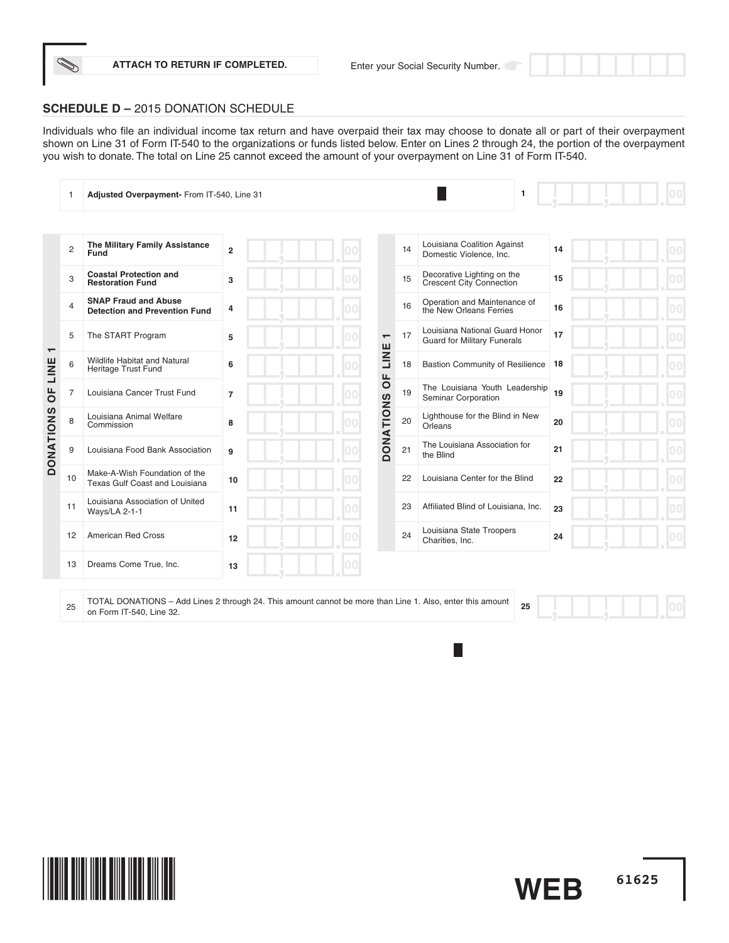**ATTACH TO RETURN IF COMPLETED.**

## **SCHEDULE D –** 2015 DONATION SCHEDULE

Individuals who file an individual income tax return and have overpaid their tax may choose to donate all or part of their overpayment shown on Line 31 of Form IT-540 to the organizations or funds listed below. Enter on Lines 2 through 24, the portion of the overpayment you wish to donate. The total on Line 25 cannot exceed the amount of your overpayment on Line 31 of Form IT-540.

|                                  |                | Adjusted Overpayment- From IT-540, Line 31                          |                |                          |    | $\mathbf{1}$                                                         |    | 00 |
|----------------------------------|----------------|---------------------------------------------------------------------|----------------|--------------------------|----|----------------------------------------------------------------------|----|----|
|                                  |                |                                                                     |                |                          |    |                                                                      |    |    |
|                                  | $\overline{2}$ | The Military Family Assistance<br>Fund                              | $\overline{2}$ |                          | 14 | Louisiana Coalition Against<br>Domestic Violence, Inc.               | 14 |    |
|                                  | 3              | <b>Coastal Protection and</b><br><b>Restoration Fund</b>            | 3              |                          | 15 | Decorative Lighting on the<br>Crescent City Connection               | 15 |    |
|                                  | $\overline{4}$ | <b>SNAP Fraud and Abuse</b><br><b>Detection and Prevention Fund</b> | 4              |                          | 16 | Operation and Maintenance of<br>the New Orleans Ferries              | 16 |    |
|                                  | 5              | The START Program                                                   | 5              | $\overline{\phantom{0}}$ | 17 | Louisiana National Guard Honor<br><b>Guard for Military Funerals</b> | 17 |    |
| $\overline{\phantom{0}}$<br>LINE | 6              | Wildlife Habitat and Natural<br>Heritage Trust Fund                 | 6              | LINE<br>Щ                | 18 | <b>Bastion Community of Resilience</b>                               | 18 |    |
| $\overline{0}$                   | $\overline{7}$ | Louisiana Cancer Trust Fund                                         | $\overline{7}$ | $\circ$                  | 19 | The Louisiana Youth Leadership<br>Seminar Corporation                | 19 |    |
| <b>DONATIONS</b>                 | 8              | Louisiana Animal Welfare<br>Commission                              | 8              | <b>DONATIONS</b>         | 20 | Lighthouse for the Blind in New<br>Orleans                           | 20 |    |
|                                  | 9              | Louisiana Food Bank Association                                     | 9              |                          | 21 | The Louisiana Association for<br>the Blind                           | 21 |    |
|                                  | 10             | Make-A-Wish Foundation of the<br>Texas Gulf Coast and Louisiana     | 10             |                          | 22 | Louisiana Center for the Blind                                       | 22 |    |
|                                  | 11             | Louisiana Association of United<br>Ways/LA 2-1-1                    | 11             |                          | 23 | Affiliated Blind of Louisiana, Inc.                                  | 23 |    |
|                                  | 12             | <b>American Red Cross</b>                                           | 12             |                          | 24 | Louisiana State Troopers<br>Charities, Inc.                          | 24 |    |
|                                  | 13             | Dreams Come True, Inc.                                              | 13             |                          |    |                                                                      |    |    |
|                                  |                |                                                                     |                |                          |    |                                                                      |    |    |

<sup>25</sup> TOTAL DONATIONS – Add Lines 2 through 24. This amount cannot be more than Line 1. Also, enter this amount on Form IT-540, Line 32. **<sup>25</sup>**

**61625**

 $|00|$ 

**WEB**

П

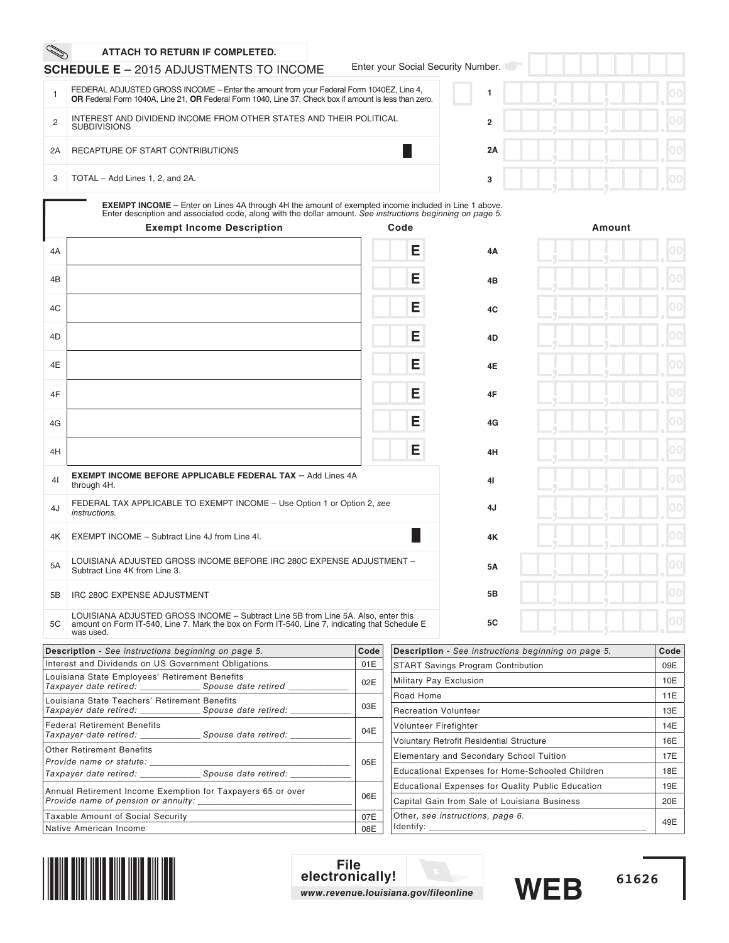|                | ATTACH TO RETURN IF COMPLETED.                                                                                                                                                                                                                                |      |                        |                                                            |        |                |
|----------------|---------------------------------------------------------------------------------------------------------------------------------------------------------------------------------------------------------------------------------------------------------------|------|------------------------|------------------------------------------------------------|--------|----------------|
|                | <b>SCHEDULE E - 2015 ADJUSTMENTS TO INCOME</b>                                                                                                                                                                                                                |      |                        | Enter your Social Security Number.                         |        |                |
| $\mathbf{1}$   | FEDERAL ADJUSTED GROSS INCOME - Enter the amount from your Federal Form 1040EZ, Line 4,<br>OR Federal Form 1040A, Line 21, OR Federal Form 1040, Line 37. Check box if amount is less than zero.                                                              |      |                        | 1                                                          |        | 00             |
| $\overline{c}$ | INTEREST AND DIVIDEND INCOME FROM OTHER STATES AND THEIR POLITICAL<br><b>SUBDIVISIONS</b>                                                                                                                                                                     |      |                        | $\overline{2}$                                             |        | 0 <sup>0</sup> |
| 2A             | RECAPTURE OF START CONTRIBUTIONS                                                                                                                                                                                                                              |      |                        | 2A                                                         |        | 00             |
| 3              | TOTAL - Add Lines 1, 2, and 2A.                                                                                                                                                                                                                               |      |                        | 3                                                          |        | 100            |
|                | <b>EXEMPT INCOME</b> – Enter on Lines 4A through 4H the amount of exempted income included in Line 1 above.<br>Enter description and associated code, along with the dollar amount. See instructions beginning on page 5.<br><b>Exempt Income Description</b> |      | Code                   |                                                            | Amount |                |
| 4A             |                                                                                                                                                                                                                                                               |      | Е                      | 4A                                                         |        | $ 00\rangle$   |
| 4B             |                                                                                                                                                                                                                                                               |      | Е                      | 4B                                                         |        | 0 <sup>0</sup> |
| 4C             |                                                                                                                                                                                                                                                               |      | Е                      | 4C                                                         |        | 00             |
| 4D             |                                                                                                                                                                                                                                                               |      | Е                      | 4D                                                         |        | 00             |
| 4E             |                                                                                                                                                                                                                                                               |      | Е                      | 4E                                                         |        | 100            |
| 4F             |                                                                                                                                                                                                                                                               |      | Е                      | 4F                                                         |        | 00             |
| 4G             |                                                                                                                                                                                                                                                               |      | Е                      | 4G                                                         |        | 00             |
| 4H             |                                                                                                                                                                                                                                                               |      | Е                      | 4H                                                         |        | 00             |
| 4 <sup>1</sup> | <b>EXEMPT INCOME BEFORE APPLICABLE FEDERAL TAX - Add Lines 4A</b><br>through 4H.                                                                                                                                                                              |      |                        | 41                                                         |        | 100            |
| 4J             | FEDERAL TAX APPLICABLE TO EXEMPT INCOME - Use Option 1 or Option 2, see<br>instructions.                                                                                                                                                                      |      |                        | 4J                                                         |        | 100            |
| 4K             | EXEMPT INCOME - Subtract Line 4J from Line 4I.                                                                                                                                                                                                                |      |                        | 4Κ                                                         |        | 00             |
| 5A             | LOUISIANA ADJUSTED GROSS INCOME BEFORE IRC 280C EXPENSE ADJUSTMENT -<br>Subtract Line 4K from Line 3.                                                                                                                                                         |      |                        | 5Α                                                         |        | $ 00\rangle$   |
| 5Β             | IRC 280C EXPENSE ADJUSTMENT                                                                                                                                                                                                                                   |      |                        | 5B                                                         |        | 00             |
| 5C             | LOUISIANA ADJUSTED GROSS INCOME - Subtract Line 5B from Line 5A. Also, enter this<br>amount on Form IT-540, Line 7. Mark the box on Form IT-540, Line 7, indicating that Schedule E<br>was used.                                                              |      |                        | 5C                                                         |        | $ 00\rangle$   |
|                | <b>Description -</b> See instructions beginning on page 5.                                                                                                                                                                                                    | Code |                        | <b>Description -</b> See instructions beginning on page 5. |        | Code           |
|                | Interest and Dividends on US Government Obligations                                                                                                                                                                                                           | 01E  |                        | <b>START Savings Program Contribution</b>                  |        | 09E            |
|                | Louisiana State Employees' Retirement Benefits                                                                                                                                                                                                                | 02E  | Military Pay Exclusion |                                                            |        | 10E            |
|                | Taxpayer date retired:<br>Spouse date retired                                                                                                                                                                                                                 |      |                        |                                                            |        |                |

Taxpayer date retired: \_\_\_\_\_\_\_\_\_\_\_\_\_\_\_ Spouse date retired \_\_\_\_\_\_\_\_\_\_\_\_\_\_\_ 02E Louisiana State Teachers' Retirement Benefits<br>Taxpayer date retired: \_\_\_\_\_\_\_\_\_\_\_\_\_\_\_Spouse date retired: Louisiana State Teachers' Retirement Benefits<br>Taxpayer date retired: \_\_\_\_\_\_\_\_\_\_\_\_\_\_\_\_Spouse date retired: \_\_\_\_\_\_\_\_\_\_\_\_\_\_\_\_\_\_\_\_| 03E Federal Retirement Benefits Taxpayer date retired: \_\_\_\_\_\_\_\_\_\_\_\_\_\_\_ Spouse date retired: \_\_\_\_\_\_\_\_\_\_\_\_\_\_\_ 04E Other Retirement Benefits Provide name or statute: Taxpayer date retired: \_\_\_\_\_\_\_\_\_\_\_\_\_\_\_\_\_ Spouse date retired: 05E Annual Retirement Income Exemption for Taxpayers 65 or over Provide name of pension or annuity: \_\_\_\_\_\_\_\_\_\_\_\_\_\_\_\_\_\_\_\_\_\_\_\_\_\_\_\_\_\_\_\_\_\_\_\_\_ 06E Taxable Amount of Social Security **1999** 107E Native American Income 08E

| <b>Description -</b> See <i>mstructions</i> beginning on page 5. |     |  |  |  |
|------------------------------------------------------------------|-----|--|--|--|
| <b>START Savings Program Contribution</b>                        | 09E |  |  |  |
| Military Pay Exclusion                                           | 10E |  |  |  |
| Road Home                                                        | 11E |  |  |  |
| <b>Recreation Volunteer</b>                                      | 13E |  |  |  |
| Volunteer Firefighter                                            | 14E |  |  |  |
| <b>Voluntary Retrofit Residential Structure</b>                  | 16E |  |  |  |
| Elementary and Secondary School Tuition                          | 17E |  |  |  |
| Educational Expenses for Home-Schooled Children                  | 18E |  |  |  |
| <b>Educational Expenses for Quality Public Education</b>         | 19E |  |  |  |
| Capital Gain from Sale of Louisiana Business                     | 20E |  |  |  |
| Other, see instructions, page 6.<br>Identify:                    | 49E |  |  |  |



**File electronically!** *www.revenue.louisiana.gov/fileonline*

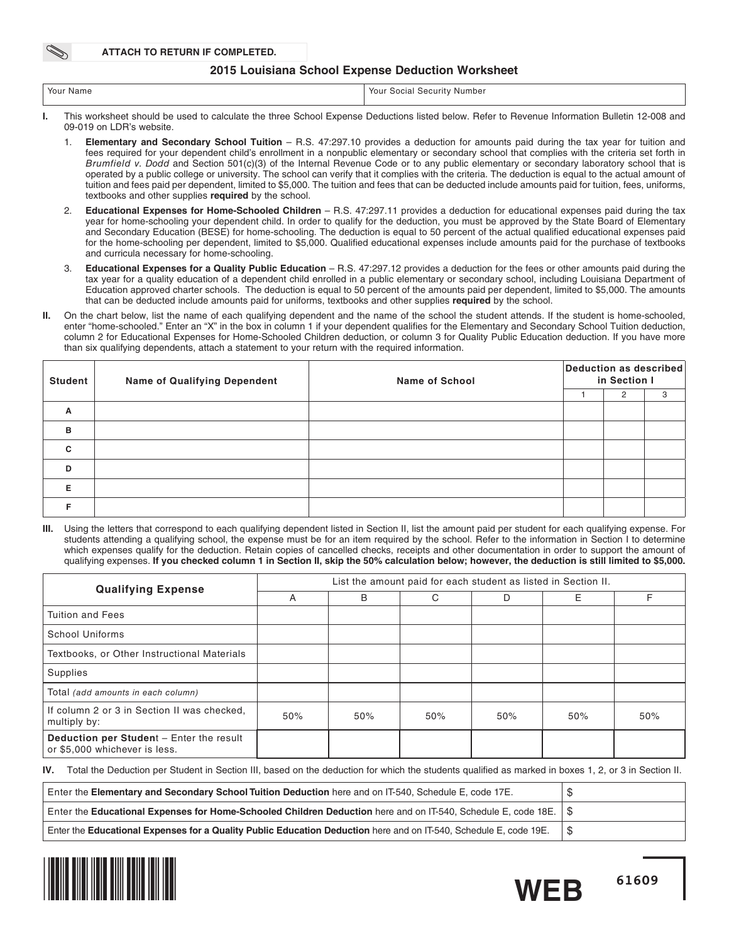**ATTACH TO RETURN IF COMPLETED.**

### **2015 Louisiana School Expense Deduction Worksheet**

| Your Name | Your<br>Number<br>security:<br>social |
|-----------|---------------------------------------|
|           |                                       |

- **I.** This worksheet should be used to calculate the three School Expense Deductions listed below. Refer to Revenue Information Bulletin 12-008 and 09-019 on LDR's website.
	- 1. **Elementary and Secondary School Tuition** R.S. 47:297.10 provides a deduction for amounts paid during the tax year for tuition and fees required for your dependent child's enrollment in a nonpublic elementary or secondary school that complies with the criteria set forth in Brumfield v. Dodd and Section 501(c)(3) of the Internal Revenue Code or to any public elementary or secondary laboratory school that is operated by a public college or university. The school can verify that it complies with the criteria. The deduction is equal to the actual amount of tuition and fees paid per dependent, limited to \$5,000. The tuition and fees that can be deducted include amounts paid for tuition, fees, uniforms, textbooks and other supplies **required** by the school.
	- 2. **Educational Expenses for Home-Schooled Children** R.S. 47:297.11 provides a deduction for educational expenses paid during the tax year for home-schooling your dependent child. In order to qualify for the deduction, you must be approved by the State Board of Elementary and Secondary Education (BESE) for home-schooling. The deduction is equal to 50 percent of the actual qualified educational expenses paid for the home-schooling per dependent, limited to \$5,000. Qualified educational expenses include amounts paid for the purchase of textbooks and curricula necessary for home-schooling.
	- 3. **Educational Expenses for a Quality Public Education** R.S. 47:297.12 provides a deduction for the fees or other amounts paid during the tax year for a quality education of a dependent child enrolled in a public elementary or secondary school, including Louisiana Department of Education approved charter schools. The deduction is equal to 50 percent of the amounts paid per dependent, limited to \$5,000. The amounts that can be deducted include amounts paid for uniforms, textbooks and other supplies **required** by the school.
- **II.** On the chart below, list the name of each qualifying dependent and the name of the school the student attends. If the student is home-schooled, enter "home-schooled." Enter an "X" in the box in column 1 if your dependent qualifies for the Elementary and Secondary School Tuition deduction, column 2 for Educational Expenses for Home-Schooled Children deduction, or column 3 for Quality Public Education deduction. If you have more than six qualifying dependents, attach a statement to your return with the required information.

| <b>Student</b> | <b>Name of Qualifying Dependent</b> | <b>Name of School</b> | Deduction as described<br>in Section I |   |   |  |  |
|----------------|-------------------------------------|-----------------------|----------------------------------------|---|---|--|--|
|                |                                     |                       |                                        | 2 | 3 |  |  |
| A              |                                     |                       |                                        |   |   |  |  |
| B              |                                     |                       |                                        |   |   |  |  |
| C              |                                     |                       |                                        |   |   |  |  |
| D              |                                     |                       |                                        |   |   |  |  |
| Е              |                                     |                       |                                        |   |   |  |  |
|                |                                     |                       |                                        |   |   |  |  |

**III.** Using the letters that correspond to each qualifying dependent listed in Section II, list the amount paid per student for each qualifying expense. For students attending a qualifying school, the expense must be for an item required by the school. Refer to the information in Section I to determine which expenses qualify for the deduction. Retain copies of cancelled checks, receipts and other documentation in order to support the amount of qualifying expenses. **If you checked column 1 in Section II, skip the 50% calculation below; however, the deduction is still limited to \$5,000.**

| <b>Qualifying Expense</b>                                                        | List the amount paid for each student as listed in Section II. |     |     |     |     |     |  |  |  |  |  |
|----------------------------------------------------------------------------------|----------------------------------------------------------------|-----|-----|-----|-----|-----|--|--|--|--|--|
|                                                                                  | A                                                              | B   | C   | D   | E   | F   |  |  |  |  |  |
| Tuition and Fees                                                                 |                                                                |     |     |     |     |     |  |  |  |  |  |
| School Uniforms                                                                  |                                                                |     |     |     |     |     |  |  |  |  |  |
| Textbooks, or Other Instructional Materials                                      |                                                                |     |     |     |     |     |  |  |  |  |  |
| Supplies                                                                         |                                                                |     |     |     |     |     |  |  |  |  |  |
| Total (add amounts in each column)                                               |                                                                |     |     |     |     |     |  |  |  |  |  |
| If column 2 or 3 in Section II was checked.<br>multiply by:                      | 50%                                                            | 50% | 50% | 50% | 50% | 50% |  |  |  |  |  |
| <b>Deduction per Student - Enter the result</b><br>or \$5,000 whichever is less. |                                                                |     |     |     |     |     |  |  |  |  |  |

**IV.** Total the Deduction per Student in Section III, based on the deduction for which the students qualified as marked in boxes 1, 2, or 3 in Section II.

| Enter the Elementary and Secondary School Tuition Deduction here and on IT-540, Schedule E, code 17E.                       |  |
|-----------------------------------------------------------------------------------------------------------------------------|--|
| Enter the Educational Expenses for Home-Schooled Children Deduction here and on IT-540, Schedule E, code 18E. $\frac{1}{5}$ |  |
| Enter the Educational Expenses for a Quality Public Education Deduction here and on IT-540, Schedule E, code 19E.           |  |



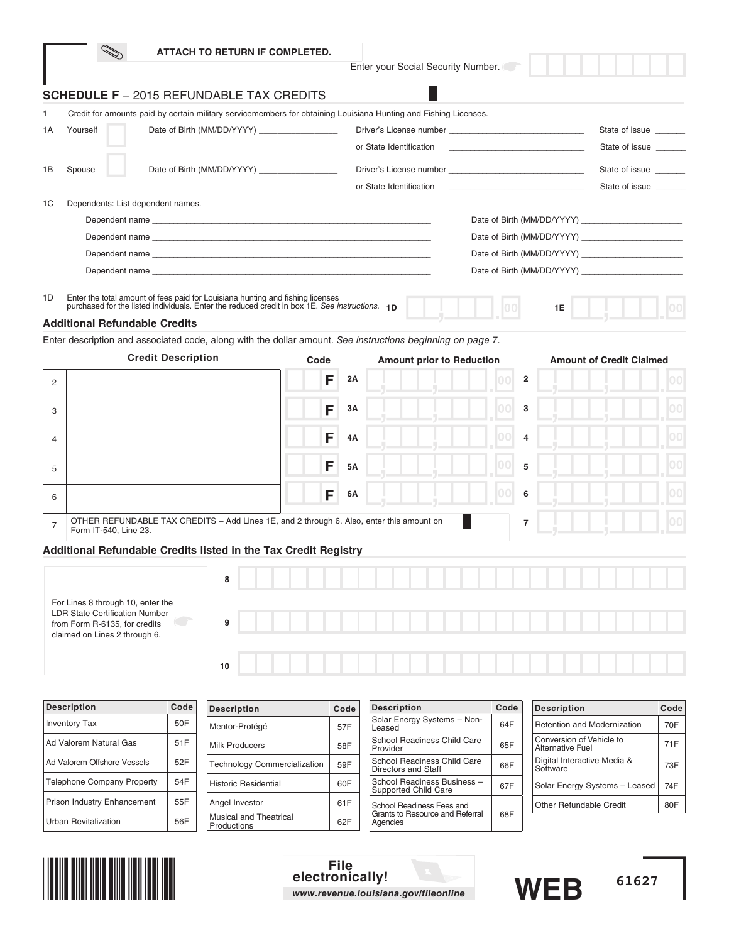|                      |                                                                                                                                         |      |                    | ATTACH TO RETURN IF COMPLETED. |      |           |                                                                                                                  |      |                                              |                                 |      |
|----------------------|-----------------------------------------------------------------------------------------------------------------------------------------|------|--------------------|--------------------------------|------|-----------|------------------------------------------------------------------------------------------------------------------|------|----------------------------------------------|---------------------------------|------|
|                      |                                                                                                                                         |      |                    |                                |      |           | Enter your Social Security Number.                                                                               |      |                                              |                                 |      |
|                      | <b>SCHEDULE F</b> - 2015 REFUNDABLE TAX CREDITS                                                                                         |      |                    |                                |      |           |                                                                                                                  |      |                                              |                                 |      |
| 1                    |                                                                                                                                         |      |                    |                                |      |           | Credit for amounts paid by certain military servicemembers for obtaining Louisiana Hunting and Fishing Licenses. |      |                                              |                                 |      |
| 1A                   | Yourself                                                                                                                                |      |                    |                                |      |           |                                                                                                                  |      |                                              | State of issue                  |      |
|                      |                                                                                                                                         |      |                    |                                |      |           | or State Identification                                                                                          |      |                                              | State of issue                  |      |
| 1B                   | Spouse                                                                                                                                  |      |                    |                                |      |           |                                                                                                                  |      |                                              | State of issue                  |      |
|                      |                                                                                                                                         |      |                    |                                |      |           | or State Identification                                                                                          |      |                                              | State of issue                  |      |
| 1C                   | Dependents: List dependent names.                                                                                                       |      |                    |                                |      |           |                                                                                                                  |      |                                              |                                 |      |
|                      |                                                                                                                                         |      |                    |                                |      |           |                                                                                                                  |      |                                              |                                 |      |
|                      |                                                                                                                                         |      |                    |                                |      |           |                                                                                                                  |      |                                              |                                 |      |
|                      |                                                                                                                                         |      |                    |                                |      |           |                                                                                                                  |      |                                              |                                 |      |
|                      |                                                                                                                                         |      |                    |                                |      |           |                                                                                                                  |      |                                              |                                 |      |
| 1D                   | Enter the total amount of fees paid for Louisiana hunting and fishing licenses                                                          |      |                    |                                |      |           |                                                                                                                  |      |                                              |                                 |      |
|                      | purchased for the listed individuals. Enter the reduced credit in box 1E. See instructions. 1D                                          |      |                    |                                |      |           |                                                                                                                  |      | 1E                                           |                                 |      |
|                      | <b>Additional Refundable Credits</b>                                                                                                    |      |                    |                                |      |           |                                                                                                                  |      |                                              |                                 |      |
|                      | Enter description and associated code, along with the dollar amount. See instructions beginning on page 7.<br><b>Credit Description</b> |      |                    |                                | Code |           | <b>Amount prior to Reduction</b>                                                                                 |      |                                              | <b>Amount of Credit Claimed</b> |      |
|                      |                                                                                                                                         |      |                    |                                |      |           |                                                                                                                  |      |                                              |                                 |      |
| 2                    |                                                                                                                                         |      |                    |                                | F    | 2Α        |                                                                                                                  | 00   | 2                                            |                                 | 00   |
| 3                    |                                                                                                                                         |      |                    |                                | F    | 3Α        |                                                                                                                  |      | 3                                            |                                 | 00   |
|                      |                                                                                                                                         |      |                    |                                |      |           |                                                                                                                  |      |                                              |                                 |      |
| 4                    |                                                                                                                                         |      |                    |                                | F    | 4A        |                                                                                                                  |      | 4                                            |                                 | 00   |
| 5                    |                                                                                                                                         |      |                    |                                | F    | <b>5A</b> |                                                                                                                  | 5    |                                              |                                 | 100  |
|                      |                                                                                                                                         |      |                    |                                |      |           |                                                                                                                  |      |                                              |                                 |      |
| 6                    |                                                                                                                                         |      |                    |                                | F    | 6A        |                                                                                                                  | 100  | 6                                            |                                 | 00   |
|                      | OTHER REFUNDABLE TAX CREDITS - Add Lines 1E, and 2 through 6. Also, enter this amount on                                                |      |                    |                                |      |           |                                                                                                                  |      | 7                                            |                                 | 00   |
| 7                    | Form IT-540, Line 23.                                                                                                                   |      |                    |                                |      |           |                                                                                                                  |      |                                              |                                 |      |
|                      | Additional Refundable Credits listed in the Tax Credit Registry                                                                         |      |                    |                                |      |           |                                                                                                                  |      |                                              |                                 |      |
|                      |                                                                                                                                         |      | 8                  |                                |      |           |                                                                                                                  |      |                                              |                                 |      |
|                      |                                                                                                                                         |      |                    |                                |      |           |                                                                                                                  |      |                                              |                                 |      |
|                      | For Lines 8 through 10, enter the<br><b>LDR State Certification Number</b>                                                              |      |                    |                                |      |           |                                                                                                                  |      |                                              |                                 |      |
|                      | from Form R-6135, for credits<br>claimed on Lines 2 through 6.                                                                          |      | 9                  |                                |      |           |                                                                                                                  |      |                                              |                                 |      |
|                      |                                                                                                                                         |      |                    |                                |      |           |                                                                                                                  |      |                                              |                                 |      |
|                      |                                                                                                                                         |      | 10                 |                                |      |           |                                                                                                                  |      |                                              |                                 |      |
|                      |                                                                                                                                         |      |                    |                                |      |           |                                                                                                                  |      |                                              |                                 |      |
| <b>Description</b>   |                                                                                                                                         | Code | <b>Description</b> |                                | Code |           | <b>Description</b>                                                                                               | Code | <b>Description</b>                           |                                 | Code |
| <b>Inventory Tax</b> |                                                                                                                                         | 50F  | Mentor-Protégé     |                                | 57F  |           | Solar Energy Systems - Non-<br>Leased                                                                            | 64F  | Retention and Modernization                  |                                 | 70F  |
|                      | Ad Valorem Natural Gas                                                                                                                  | 51F  | Milk Producers     |                                | 58F  |           | School Readiness Child Care<br>Provider                                                                          | 65F  | Conversion of Vehicle to<br>Alternative Fuel |                                 | 71F  |

| <b>Description</b>                | code | Description                                  | Code | <b>Description</b>                                  | code | <b>Description</b>                                  | <b>Code</b> |
|-----------------------------------|------|----------------------------------------------|------|-----------------------------------------------------|------|-----------------------------------------------------|-------------|
| <b>Inventory Tax</b>              | 50F  | Mentor-Protégé                               | 57F  | Solar Energy Systems - Non-<br>Leased               | 64F  | Retention and Modernization                         | 70F         |
| Ad Valorem Natural Gas            | 51F  | Milk Producers                               | 58F  | School Readiness Child Care<br>Provider             | 65F  | Conversion of Vehicle to<br><b>Alternative Fuel</b> | 71F         |
| Ad Valorem Offshore Vessels       | 52F  | <b>Technology Commercialization</b>          | 59F  | School Readiness Child Care<br>Directors and Staff  | 66F  | Digital Interactive Media &<br>Software             | 73F         |
| <b>Telephone Company Property</b> | 54F  | <b>Historic Residential</b>                  | 60F  | School Readiness Business -<br>Supported Child Care | 67F  | Solar Energy Systems - Leased                       | 74F         |
| Prison Industry Enhancement       | 55F  | Angel Investor                               | 61F  | School Readiness Fees and                           |      | Other Refundable Credit                             | 80F         |
| Urban Revitalization              | 56F  | <b>Musical and Theatrical</b><br>Productions | 62F  | Grants to Resource and Referral<br>Agencies         | 68F  |                                                     |             |







**61627**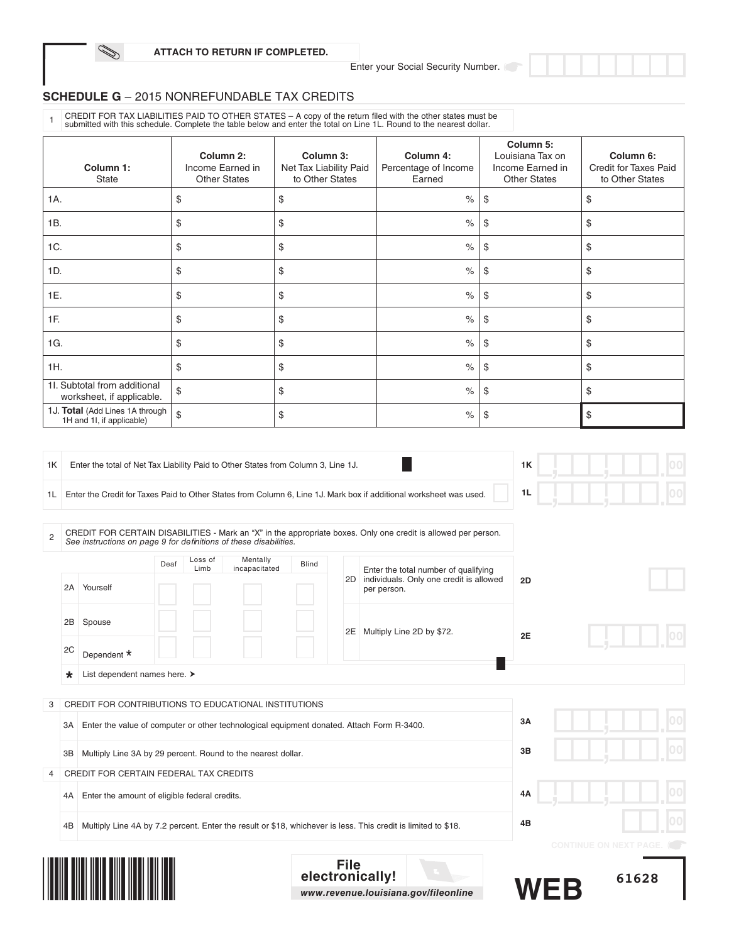Enter your Social Security Number.

## **SCHEDULE G** – 2015 NONREFUNDABLE TAX CREDITS

Í

CREDIT FOR TAX LIABILITIES PAID TO OTHER STATES – A copy of the return filed with the other states must be<br>submitted with this schedule. Complete the table below and enter the total on Line 1L. Round to the nearest dollar.

| Column 1:<br>State                                           | Column 2:<br>Income Earned in<br><b>Other States</b> | Column 3:<br>Net Tax Liability Paid<br>to Other States | Column 4:<br>Percentage of Income<br>Earned | Column 5:<br>Louisiana Tax on<br>Income Earned in<br><b>Other States</b> | Column 6:<br><b>Credit for Taxes Paid</b><br>to Other States |
|--------------------------------------------------------------|------------------------------------------------------|--------------------------------------------------------|---------------------------------------------|--------------------------------------------------------------------------|--------------------------------------------------------------|
| 1A.                                                          | \$                                                   | \$                                                     | $\frac{1}{6}$                               | \$                                                                       | \$                                                           |
| 1B.                                                          | \$                                                   | \$                                                     | $\frac{1}{6}$                               | \$                                                                       | \$                                                           |
| 1C.                                                          | \$                                                   | \$                                                     | $\%$                                        | \$                                                                       | \$                                                           |
| 1D.                                                          | \$                                                   | \$                                                     | $\%$                                        | \$                                                                       | \$                                                           |
| 1E.                                                          | \$                                                   | \$                                                     | $\frac{1}{6}$                               | \$                                                                       | \$                                                           |
| 1F.                                                          | \$                                                   | \$                                                     | $\%$                                        | \$                                                                       | \$                                                           |
| 1G.                                                          | \$                                                   | \$                                                     | $\%$                                        | \$                                                                       | \$                                                           |
| 1H.                                                          | \$                                                   | \$                                                     | $\%$                                        | \$                                                                       | \$                                                           |
| 11. Subtotal from additional<br>worksheet, if applicable.    | \$                                                   | \$                                                     | $\%$                                        | \$                                                                       | \$                                                           |
| 1J. Total (Add Lines 1A through<br>1H and 1I, if applicable) | \$                                                   | \$                                                     | $\%$                                        | \$                                                                       | \$                                                           |

| 1K             |    | Enter the total of Net Tax Liability Paid to Other States from Column 3, Line 1J.         |      |                 |                           | 1K           |             |                                                                                                                    | 100 |                              |       |     |
|----------------|----|-------------------------------------------------------------------------------------------|------|-----------------|---------------------------|--------------|-------------|--------------------------------------------------------------------------------------------------------------------|-----|------------------------------|-------|-----|
| 1L             |    |                                                                                           |      |                 |                           |              |             | Enter the Credit for Taxes Paid to Other States from Column 6, Line 1J. Mark box if additional worksheet was used. | 1L  |                              |       | 100 |
| $\overline{2}$ |    | See instructions on page 9 for definitions of these disabilities.                         |      |                 |                           |              |             | CREDIT FOR CERTAIN DISABILITIES - Mark an "X" in the appropriate boxes. Only one credit is allowed per person.     |     |                              |       |     |
|                |    |                                                                                           | Deaf | Loss of<br>Limb | Mentally<br>incapacitated | <b>Blind</b> |             | Enter the total number of qualifying                                                                               |     |                              |       |     |
|                | 2A | Yourself                                                                                  |      |                 |                           |              |             | 2D individuals. Only one credit is allowed<br>per person.                                                          | 2D  |                              |       |     |
|                | 2В | Spouse                                                                                    |      |                 |                           |              | 2E          | Multiply Line 2D by \$72.                                                                                          | 2E  |                              |       |     |
|                | 2C | Dependent *                                                                               |      |                 |                           |              |             |                                                                                                                    |     |                              |       |     |
|                | *  | List dependent names here. >                                                              |      |                 |                           |              |             |                                                                                                                    |     |                              |       |     |
| 3              |    | CREDIT FOR CONTRIBUTIONS TO EDUCATIONAL INSTITUTIONS                                      |      |                 |                           |              |             |                                                                                                                    |     |                              |       |     |
|                | ЗΑ | Enter the value of computer or other technological equipment donated. Attach Form R-3400. |      |                 |                           |              |             |                                                                                                                    | 3A  |                              |       |     |
|                | ЗB | Multiply Line 3A by 29 percent. Round to the nearest dollar.                              |      |                 |                           |              |             |                                                                                                                    | 3B  |                              |       |     |
| 4              |    | CREDIT FOR CERTAIN FEDERAL TAX CREDITS                                                    |      |                 |                           |              |             |                                                                                                                    |     |                              |       |     |
|                | 4A | Enter the amount of eligible federal credits.                                             |      |                 |                           |              |             |                                                                                                                    | 4A  |                              |       |     |
|                | 4B |                                                                                           |      |                 |                           |              |             | Multiply Line 4A by 7.2 percent. Enter the result or \$18, whichever is less. This credit is limited to \$18.      | 4B  |                              |       |     |
|                |    |                                                                                           |      |                 |                           |              |             |                                                                                                                    |     | <b>CONTINUE ON NEXT PAGE</b> |       |     |
|                |    |                                                                                           |      |                 |                           |              | <b>File</b> | electronically!<br>www.revenue.louisiana.gov/fileonline                                                            |     |                              | 61628 |     |



1. 133.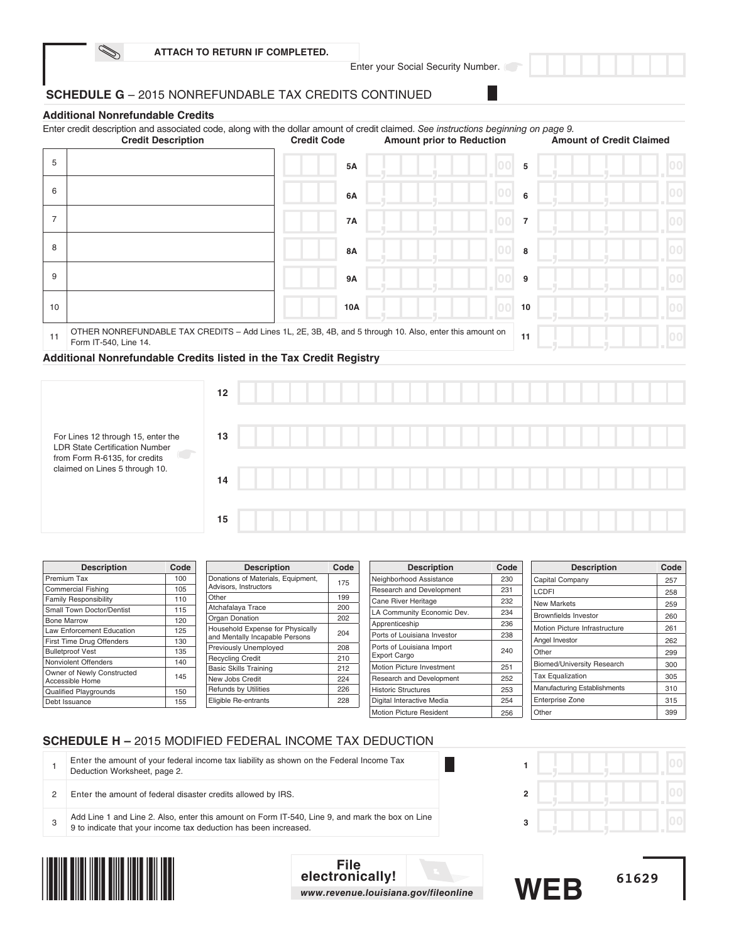Enter your Social Security Number.

L

## **SCHEDULE G** – 2015 NONREFUNDABLE TAX CREDITS CONTINUED

## **Additional Nonrefundable Credits**

Í

|                | Enter credit description and associated code, along with the dollar amount of credit claimed. See instructions beginning on page 9.<br><b>Credit Description</b> | <b>Credit Code</b> | <b>Amount prior to Reduction</b> |                        | <b>Amount of Credit Claimed</b> |
|----------------|------------------------------------------------------------------------------------------------------------------------------------------------------------------|--------------------|----------------------------------|------------------------|---------------------------------|
| 5              |                                                                                                                                                                  | 5A                 |                                  | 5<br>(010)             |                                 |
| 6              |                                                                                                                                                                  | 6A                 |                                  | 6                      |                                 |
| $\overline{7}$ |                                                                                                                                                                  | <b>7A</b>          |                                  | $\overline{7}$         |                                 |
| 8              |                                                                                                                                                                  | <b>8A</b>          |                                  | 8                      |                                 |
| 9              |                                                                                                                                                                  | 9A                 |                                  | $\overline{100}$<br>9  |                                 |
| 10             |                                                                                                                                                                  | 10A                |                                  | $\overline{100}$<br>10 |                                 |
| 11             | OTHER NONREFUNDABLE TAX CREDITS - Add Lines 1L, 2E, 3B, 4B, and 5 through 10. Also, enter this amount on<br>Form IT-540, Line 14.                                | 11                 |                                  |                        |                                 |
|                | Additional Nonrefundable Credits listed in the Tax Credit Registry                                                                                               |                    |                                  |                        |                                 |



| <b>Description</b>               | Code | <b>Description</b>                 | Code | <b>Description</b>                               | Code | <b>Description</b>            | Code |
|----------------------------------|------|------------------------------------|------|--------------------------------------------------|------|-------------------------------|------|
| Premium Tax                      | 100  | Donations of Materials, Equipment, | 175  | Neighborhood Assistance                          | 230  | Capital Company               | 257  |
| <b>Commercial Fishing</b>        | 105  | Advisors, Instructors              |      | Research and Development                         | 231  | <b>LCDFI</b>                  | 258  |
| <b>Family Responsibility</b>     | 110  | Other                              | 199  | Cane River Heritage                              | 232  | <b>New Markets</b>            | 259  |
| Small Town Doctor/Dentist        | 115  | Atchafalaya Trace                  | 200  | LA Community Economic Dev.                       | 234  | <b>Brownfields Investor</b>   |      |
| <b>Bone Marrow</b>               | 120  | Organ Donation                     | 202  | Apprenticeship                                   | 236  |                               | 260  |
| <b>Law Enforcement Education</b> | 125  | Household Expense for Physically   | 204  | Ports of Louisiana Investor                      | 238  | Motion Picture Infrastructure | 261  |
| First Time Drug Offenders        | 130  | and Mentally Incapable Persons     |      |                                                  |      | Angel Investor                | 262  |
| <b>Bulletproof Vest</b>          | 135  | Previously Unemployed              | 208  | Ports of Louisiana Import<br><b>Export Cargo</b> | 240  | Other                         | 299  |
| Nonviolent Offenders             | 140  | <b>Recycling Credit</b>            | 210  |                                                  |      | Biomed/University Research    | 300  |
| Owner of Newly Constructed       |      | <b>Basic Skills Training</b>       | 212  | Motion Picture Investment                        | 251  |                               |      |
| Accessible Home                  | 145  | New Jobs Credit                    | 224  | Research and Development                         | 252  | <b>Tax Equalization</b>       | 305  |
| <b>Qualified Playgrounds</b>     | 150  | <b>Refunds by Utilities</b>        | 226  | <b>Historic Structures</b>                       | 253  | Manufacturing Establishments  | 310  |
| Debt Issuance                    | 155  | Eligible Re-entrants               | 228  | Digital Interactive Media                        | 254  | Enterprise Zone               | 315  |
|                                  |      |                                    |      | Motion Picture Resident                          | 256  | Other                         | 399  |

## **SCHEDULE H –** 2015 MODIFIED FEDERAL INCOME TAX DEDUCTION

|  | Enter the amount of your federal income tax liability as shown on the Federal Income Tax<br>Deduction Worksheet, page 2.                                            |  |  |  |  |
|--|---------------------------------------------------------------------------------------------------------------------------------------------------------------------|--|--|--|--|
|  | Enter the amount of federal disaster credits allowed by IRS.                                                                                                        |  |  |  |  |
|  | Add Line 1 and Line 2. Also, enter this amount on Form IT-540, Line 9, and mark the box on Line<br>9 to indicate that your income tax deduction has been increased. |  |  |  |  |



**File electronically!** *www.revenue.louisiana.gov/fileonline*

Motion Picture Resident

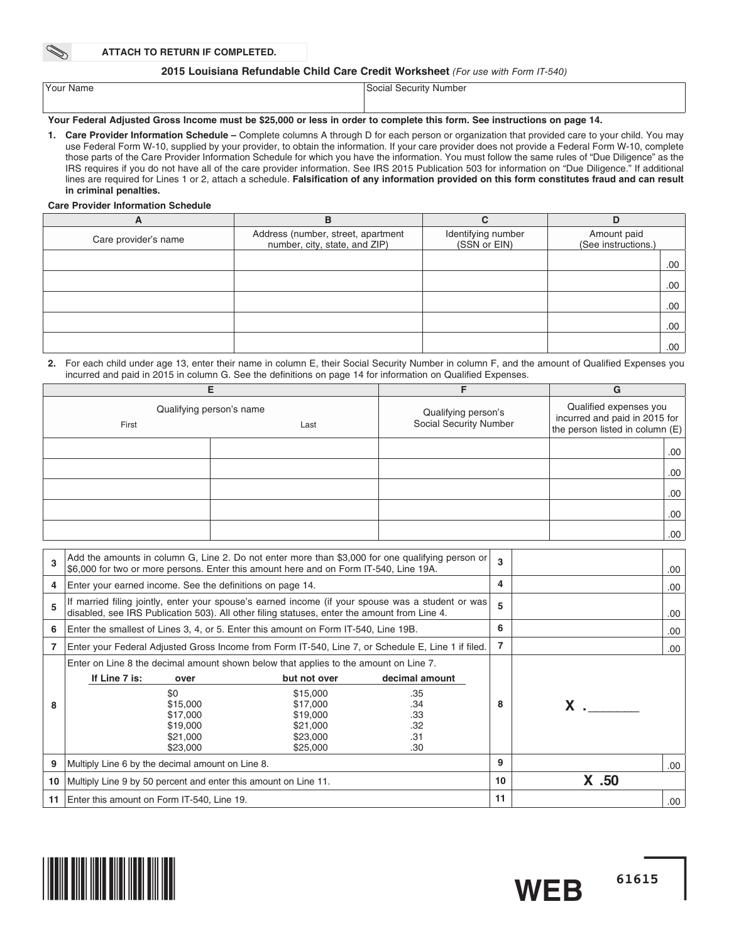#### **ATTACH TO RETURN IF COMPLETED.**

### 2015 Louisiana Refundable Child Care Credit Worksheet (For use with Form IT-540)

## **Your Federal Adjusted Gross Income must be \$25,000 or less in order to complete this form. See instructions on page 14.**

**1. Care Provider Information Schedule –** Complete columns A through D for each person or organization that provided care to your child. You may use Federal Form W-10, supplied by your provider, to obtain the information. If your care provider does not provide a Federal Form W-10, complete those parts of the Care Provider Information Schedule for which you have the information. You must follow the same rules of "Due Diligence" as the IRS requires if you do not have all of the care provider information. See IRS 2015 Publication 503 for information on "Due Diligence." If additional lines are required for Lines 1 or 2, attach a schedule. Falsification of any information provided on this form constitutes fraud and can result **in criminal penalties.**

#### **Care Provider Information Schedule**

| A                    | в                                                                   | C                                  | D                                  |
|----------------------|---------------------------------------------------------------------|------------------------------------|------------------------------------|
| Care provider's name | Address (number, street, apartment<br>number, city, state, and ZIP) | Identifying number<br>(SSN or EIN) | Amount paid<br>(See instructions.) |
|                      |                                                                     |                                    | .00                                |
|                      |                                                                     |                                    | .00                                |
|                      |                                                                     |                                    | .00                                |
|                      |                                                                     |                                    | .00                                |
|                      |                                                                     |                                    | .00                                |

#### 2. For each child under age 13, enter their name in column E, their Social Security Number in column F, and the amount of Qualified Expenses you incurred and paid in 2015 in column G. See the definitions on page 14 for information on Qualified Expenses.

|       |                                  |                                               | G                                                                                          |  |  |
|-------|----------------------------------|-----------------------------------------------|--------------------------------------------------------------------------------------------|--|--|
| First | Qualifying person's name<br>Last | Qualifying person's<br>Social Security Number | Qualified expenses you<br>incurred and paid in 2015 for<br>the person listed in column (E) |  |  |
|       |                                  |                                               | .00.                                                                                       |  |  |
|       |                                  |                                               | .00.                                                                                       |  |  |
|       |                                  |                                               | .00.                                                                                       |  |  |
|       |                                  |                                               | .00.                                                                                       |  |  |
|       |                                  |                                               | .00.                                                                                       |  |  |

| 3  | Add the amounts in column G, Line 2. Do not enter more than \$3,000 for one qualifying person or<br>\$6,000 for two or more persons. Enter this amount here and on Form IT-540, Line 19A.          |                                                                                      |                                                          | $\mathbf{a}$ |                | .00  |
|----|----------------------------------------------------------------------------------------------------------------------------------------------------------------------------------------------------|--------------------------------------------------------------------------------------|----------------------------------------------------------|--------------|----------------|------|
| 4  | Enter your earned income. See the definitions on page 14.                                                                                                                                          |                                                                                      |                                                          | 4            |                | .00  |
| 5  | If married filing jointly, enter your spouse's earned income (if your spouse was a student or was)<br>disabled, see IRS Publication 503). All other filing statuses, enter the amount from Line 4. |                                                                                      |                                                          | 5            |                | .00  |
| 6  | Enter the smallest of Lines 3, 4, or 5. Enter this amount on Form IT-540, Line 19B.                                                                                                                |                                                                                      |                                                          | 6            |                | .00  |
|    | Enter your Federal Adjusted Gross Income from Form IT-540, Line 7, or Schedule E, Line 1 if filed.                                                                                                 |                                                                                      | 7                                                        |              | .00.           |      |
| 8  | Enter on Line 8 the decimal amount shown below that applies to the amount on Line 7.<br>If Line 7 is:<br>over<br>\$0<br>\$15,000<br>\$17,000<br>\$19,000<br>\$21,000<br>\$23,000                   | but not over<br>\$15,000<br>\$17,000<br>\$19,000<br>\$21,000<br>\$23,000<br>\$25,000 | decimal amount<br>.35<br>.34<br>.33<br>.32<br>.31<br>.30 | 8            | $\mathsf{X}$ . |      |
| 9  | Multiply Line 6 by the decimal amount on Line 8.                                                                                                                                                   |                                                                                      |                                                          | 9            |                | .00. |
| 10 | Multiply Line 9 by 50 percent and enter this amount on Line 11.                                                                                                                                    |                                                                                      |                                                          | 10           | X .50          |      |
| 11 | Enter this amount on Form IT-540, Line 19.                                                                                                                                                         |                                                                                      |                                                          | 11           |                | .00  |



**<sup>61615</sup> WEB**